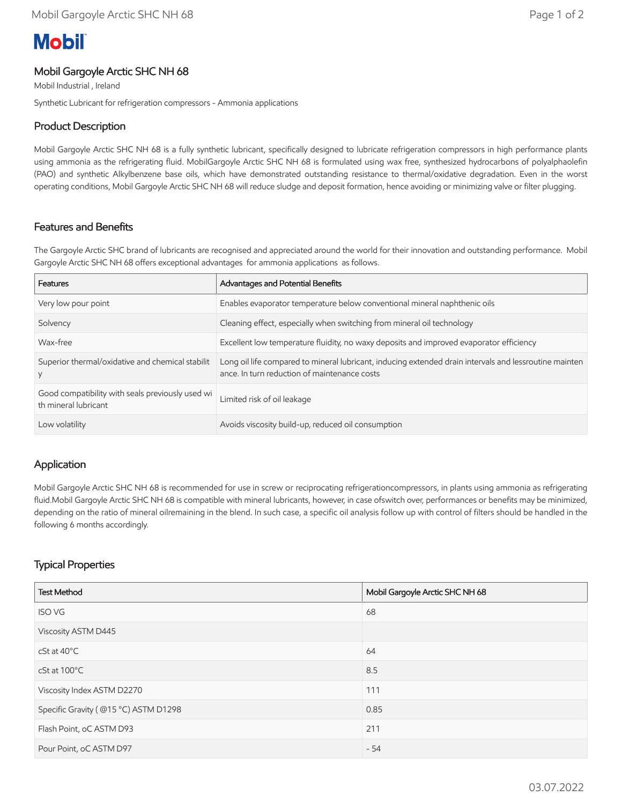# **Mobil**

#### Mobil Gargoyle Arctic SHC NH 68

Mobil Industrial , Ireland

Synthetic Lubricant for refrigeration compressors - Ammonia applications

### Product Description

Mobil Gargoyle Arctic SHC NH 68 is a fully synthetic lubricant, specifically designed to lubricate refrigeration compressors in high performance plants using ammonia as the refrigerating fluid. MobilGargoyle Arctic SHC NH 68 is formulated using wax free, synthesized hydrocarbons of polyalphaolefin (PAO) and synthetic Alkylbenzene base oils, which have demonstrated outstanding resistance to thermal/oxidative degradation. Even in the worst operating conditions, Mobil Gargoyle Arctic SHC NH 68 will reduce sludge and deposit formation, hence avoiding or minimizing valve or filter plugging.

### Features and Benefits

The Gargoyle Arctic SHC brand of lubricants are recognised and appreciated around the world for their innovation and outstanding performance. Mobil Gargoyle Arctic SHC NH 68 offers exceptional advantages for ammonia applications as follows.

| Features                                                                 | Advantages and Potential Benefits                                                                                                                      |
|--------------------------------------------------------------------------|--------------------------------------------------------------------------------------------------------------------------------------------------------|
| Very low pour point                                                      | Enables evaporator temperature below conventional mineral naphthenic oils                                                                              |
| Solvency                                                                 | Cleaning effect, especially when switching from mineral oil technology                                                                                 |
| Wax-free                                                                 | Excellent low temperature fluidity, no waxy deposits and improved evaporator efficiency                                                                |
| Superior thermal/oxidative and chemical stabilit                         | Long oil life compared to mineral lubricant, inducing extended drain intervals and lessroutine mainten<br>ance. In turn reduction of maintenance costs |
| Good compatibility with seals previously used wi<br>th mineral lubricant | Limited risk of oil leakage                                                                                                                            |
| Low volatility                                                           | Avoids viscosity build-up, reduced oil consumption                                                                                                     |

#### Application

Mobil Gargoyle Arctic SHC NH 68 is recommended for use in screw or reciprocating refrigerationcompressors, in plants using ammonia as refrigerating fluid.Mobil Gargoyle Arctic SHC NH 68 is compatible with mineral lubricants, however, in case ofswitch over, performances or benefits may be minimized, depending on the ratio of mineral oilremaining in the blend. In such case, a specific oil analysis follow up with control of filters should be handled in the following 6 months accordingly.

## Typical Properties

| <b>Test Method</b>                   | Mobil Gargoyle Arctic SHC NH 68 |
|--------------------------------------|---------------------------------|
| <b>ISO VG</b>                        | 68                              |
| Viscosity ASTM D445                  |                                 |
| $cSt$ at $40^{\circ}$ C              | 64                              |
| cSt at 100°C                         | 8.5                             |
| Viscosity Index ASTM D2270           | 111                             |
| Specific Gravity (@15 °C) ASTM D1298 | 0.85                            |
| Flash Point, oC ASTM D93             | 211                             |
| Pour Point, oC ASTM D97              | $-54$                           |